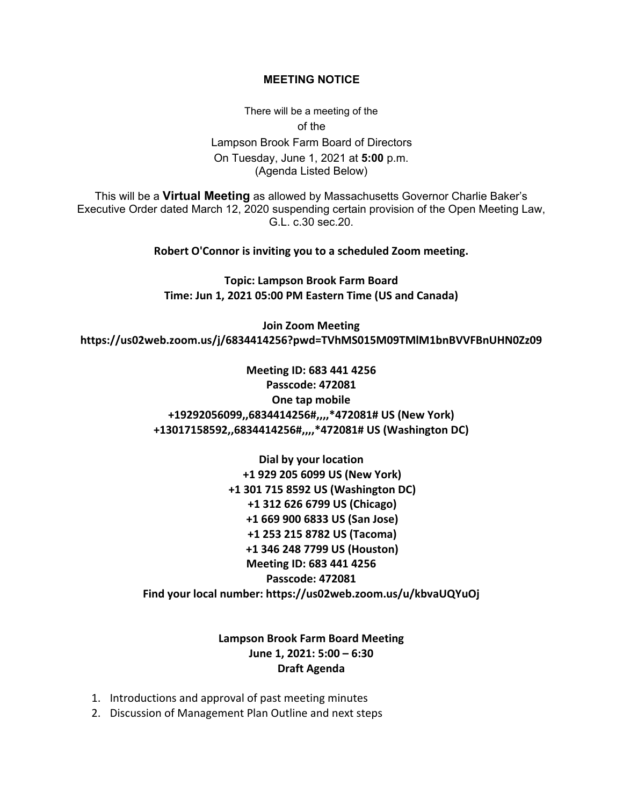## **MEETING NOTICE**

There will be a meeting of the of the Lampson Brook Farm Board of Directors On Tuesday, June 1, 2021 at **5:00** p.m. (Agenda Listed Below)

This will be a **Virtual Meeting** as allowed by Massachusetts Governor Charlie Baker's Executive Order dated March 12, 2020 suspending certain provision of the Open Meeting Law, G.L. c.30 sec.20.

**Robert O'Connor is inviting you to a scheduled Zoom meeting.**

**Topic: Lampson Brook Farm Board Time: Jun 1, 2021 05:00 PM Eastern Time (US and Canada)**

**Join Zoom Meeting https://us02web.zoom.us/j/6834414256?pwd=TVhMS015M09TMlM1bnBVVFBnUHN0Zz09**

> **Meeting ID: 683 441 4256 Passcode: 472081 One tap mobile +19292056099,,6834414256#,,,,\*472081# US (New York) +13017158592,,6834414256#,,,,\*472081# US (Washington DC)**

**Dial by your location +1 929 205 6099 US (New York) +1 301 715 8592 US (Washington DC) +1 312 626 6799 US (Chicago) +1 669 900 6833 US (San Jose) +1 253 215 8782 US (Tacoma) +1 346 248 7799 US (Houston) Meeting ID: 683 441 4256 Passcode: 472081 Find your local number: https://us02web.zoom.us/u/kbvaUQYuOj**

## **Lampson Brook Farm Board Meeting June 1, 2021: 5:00 – 6:30 Draft Agenda**

- 1. Introductions and approval of past meeting minutes
- 2. Discussion of Management Plan Outline and next steps